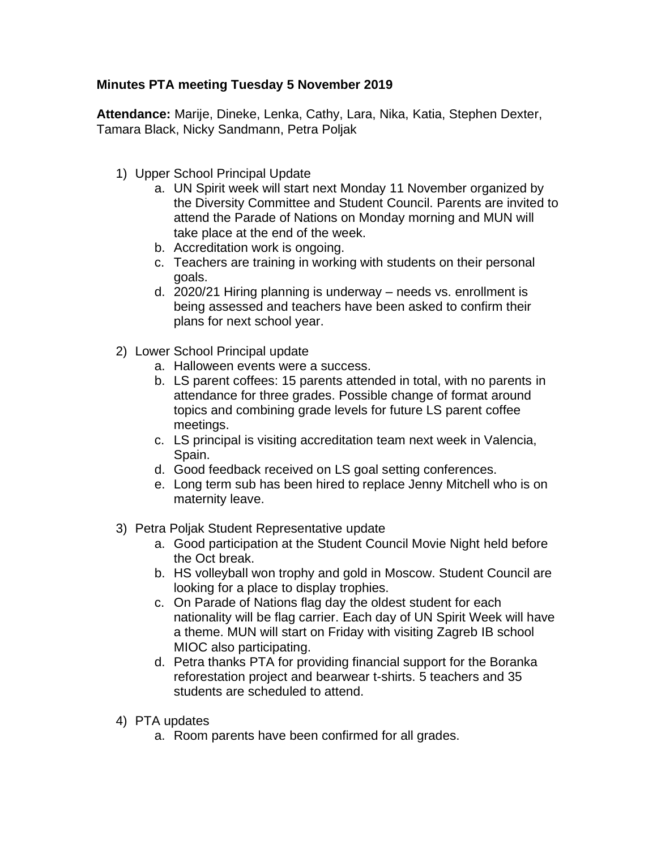## **Minutes PTA meeting Tuesday 5 November 2019**

**Attendance:** Marije, Dineke, Lenka, Cathy, Lara, Nika, Katia, Stephen Dexter, Tamara Black, Nicky Sandmann, Petra Poljak

- 1) Upper School Principal Update
	- a. UN Spirit week will start next Monday 11 November organized by the Diversity Committee and Student Council. Parents are invited to attend the Parade of Nations on Monday morning and MUN will take place at the end of the week.
	- b. Accreditation work is ongoing.
	- c. Teachers are training in working with students on their personal goals.
	- d. 2020/21 Hiring planning is underway needs vs. enrollment is being assessed and teachers have been asked to confirm their plans for next school year.
- 2) Lower School Principal update
	- a. Halloween events were a success.
	- b. LS parent coffees: 15 parents attended in total, with no parents in attendance for three grades. Possible change of format around topics and combining grade levels for future LS parent coffee meetings.
	- c. LS principal is visiting accreditation team next week in Valencia, Spain.
	- d. Good feedback received on LS goal setting conferences.
	- e. Long term sub has been hired to replace Jenny Mitchell who is on maternity leave.
- 3) Petra Poljak Student Representative update
	- a. Good participation at the Student Council Movie Night held before the Oct break.
	- b. HS volleyball won trophy and gold in Moscow. Student Council are looking for a place to display trophies.
	- c. On Parade of Nations flag day the oldest student for each nationality will be flag carrier. Each day of UN Spirit Week will have a theme. MUN will start on Friday with visiting Zagreb IB school MIOC also participating.
	- d. Petra thanks PTA for providing financial support for the Boranka reforestation project and bearwear t-shirts. 5 teachers and 35 students are scheduled to attend.
- 4) PTA updates
	- a. Room parents have been confirmed for all grades.